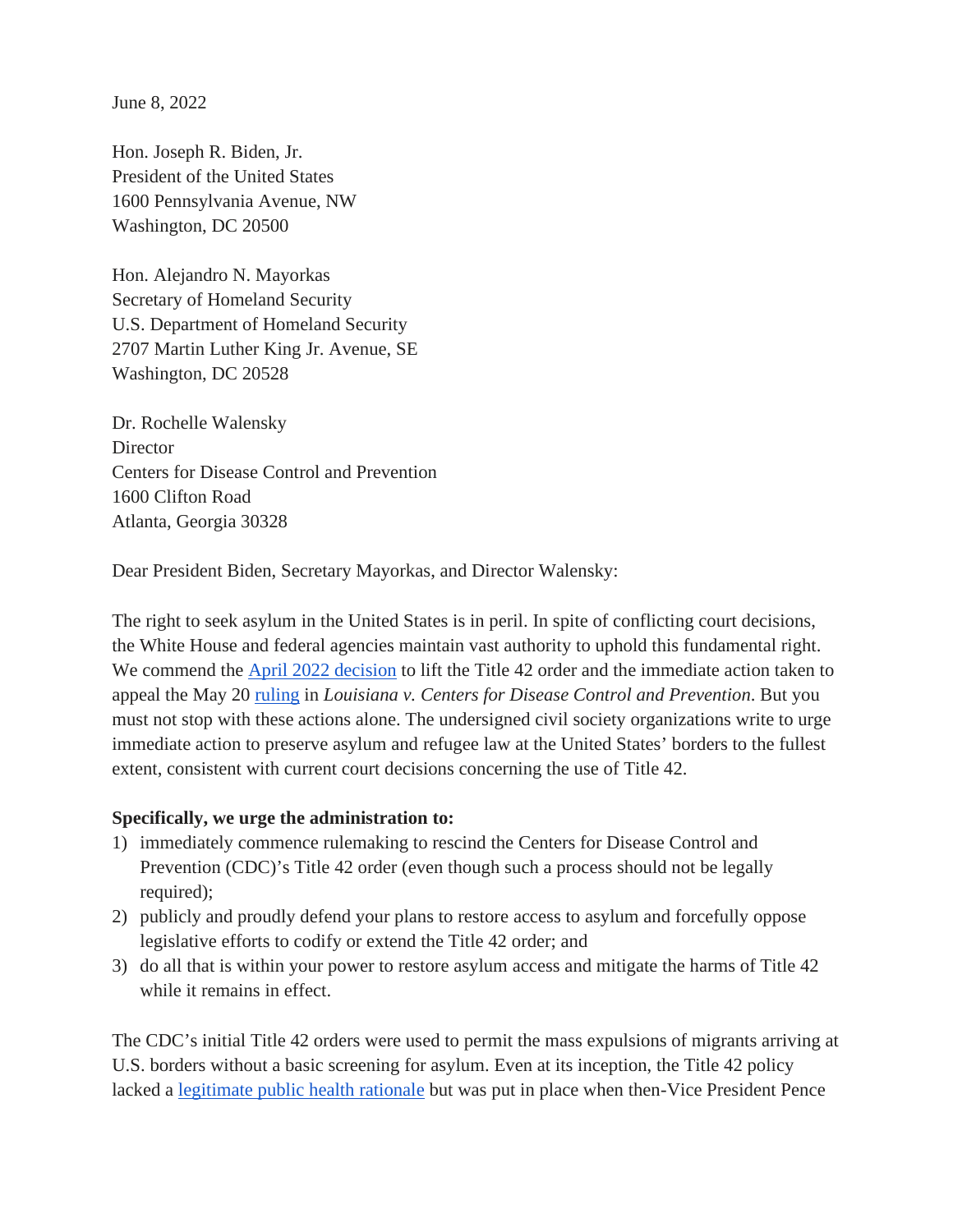June 8, 2022

Hon. Joseph R. Biden, Jr. President of the United States 1600 Pennsylvania Avenue, NW Washington, DC 20500

Hon. Alejandro N. Mayorkas Secretary of Homeland Security U.S. Department of Homeland Security 2707 Martin Luther King Jr. Avenue, SE Washington, DC 20528

Dr. Rochelle Walensky **Director** Centers for Disease Control and Prevention 1600 Clifton Road Atlanta, Georgia 30328

Dear President Biden, Secretary Mayorkas, and Director Walensky:

The right to seek asylum in the United States is in peril. In spite of conflicting court decisions, the White House and federal agencies maintain vast authority to uphold this fundamental right. We commend the [April 2022 decision](https://www.cdc.gov/media/releases/2022/s0401-title-42.html) to lift the Title 42 order and the immediate action taken to appeal the May 20 [ruling](https://www.bloomberglaw.com/public/desktop/document/LouisianaetalvCentersforDiseaseControlPreventionetalDocketNo622cv/7?1653080570) in *Louisiana v. Centers for Disease Control and Prevention*. But you must not stop with these actions alone. The undersigned civil society organizations write to urge immediate action to preserve asylum and refugee law at the United States' borders to the fullest extent, consistent with current court decisions concerning the use of Title 42.

## **Specifically, we urge the administration to:**

- 1) immediately commence rulemaking to rescind the Centers for Disease Control and Prevention (CDC)'s Title 42 order (even though such a process should not be legally required);
- 2) publicly and proudly defend your plans to restore access to asylum and forcefully oppose legislative efforts to codify or extend the Title 42 order; and
- 3) do all that is within your power to restore asylum access and mitigate the harms of Title 42 while it remains in effect.

The CDC's initial Title 42 orders were used to permit the mass expulsions of migrants arriving at U.S. borders without a basic screening for asylum. Even at its inception, the Title 42 policy lacked a [legitimate public health rationale](https://www.americanprogress.org/article/the-title-42-expulsion-policy-does-nothing-to-prevent-the-spread-of-covid-19/) but was put in place when then-Vice President Pence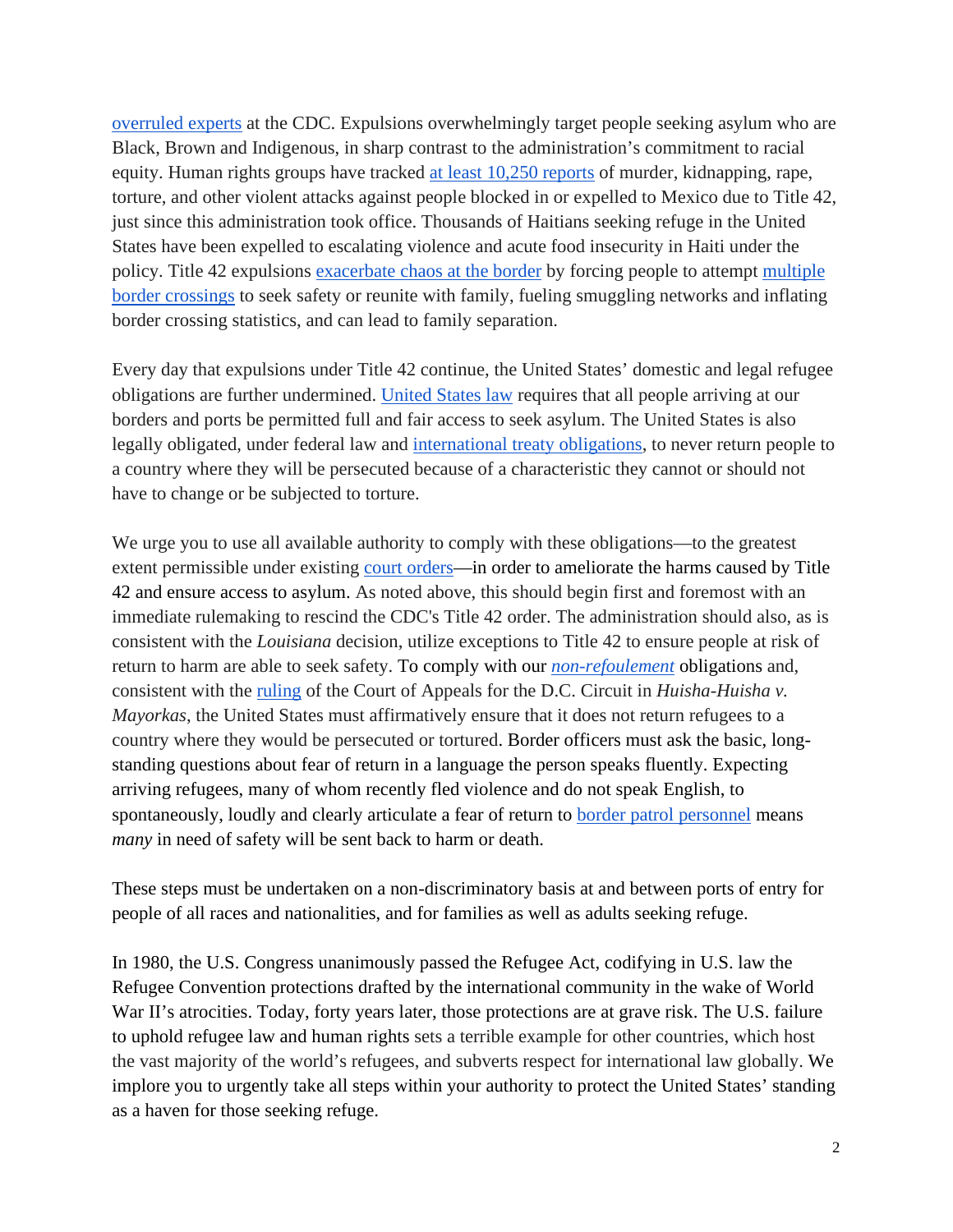[overruled experts](https://apnews.com/article/virus-outbreak-pandemics-public-health-new-york-health-4ef0c6c5263815a26f8aa17f6ea490ae) at the CDC. Expulsions overwhelmingly target people seeking asylum who are Black, Brown and Indigenous, in sharp contrast to the administration's commitment to racial equity. Human rights groups have tracked [at least 10,250 reports](https://www.humanrightsfirst.org/resource/extending-title-42-would-escalate-dangers-exacerbate-disorder-and-magnify-discrimination) of murder, kidnapping, rape, torture, and other violent attacks against people blocked in or expelled to Mexico due to Title 42, just since this administration took office. Thousands of Haitians seeking refuge in the United States have been expelled to escalating violence and acute food insecurity in Haiti under the policy. Title 42 expulsions [exacerbate chaos at the border](https://www.womensrefugeecommission.org/wp-content/uploads/2022/03/Why-Policies-That-Attempt-to-Deter-People-from-Seeking-Asylum-Create-Both-Harm-and-Chaos.pdf) by forcing people to attempt [multiple](https://www.americanimmigrationcouncil.org/research/guide-title-42-expulsions-border)  [border crossings](https://www.americanimmigrationcouncil.org/research/guide-title-42-expulsions-border) to seek safety or reunite with family, fueling smuggling networks and inflating border crossing statistics, and can lead to family separation.

Every day that expulsions under Title 42 continue, the United States' domestic and legal refugee obligations are further undermined. [United States law](https://www.justsecurity.org/69640/coronavirus-border-expulsions-cdcs-assault-on-asylum-seekers-and-unaccompanied-minors/) requires that all people arriving at our borders and ports be permitted full and fair access to seek asylum. The United States is also legally obligated, under federal law and [international treaty obligations,](https://www.unhcr.org/en-us/protection/basic/3b66c2aa10/convention-protocol-relating-status-refugees.html) to never return people to a country where they will be persecuted because of a characteristic they cannot or should not have to change or be subjected to torture.

We urge you to use all available authority to comply with these obligations—to the greatest extent permissible under existing [court orders—](https://www.bloomberglaw.com/public/desktop/document/LouisianaetalvCentersforDiseaseControlPreventionetalDocketNo622cv/7?1653080570)in order to ameliorate the harms caused by Title 42 and ensure access to asylum. As noted above, this should begin first and foremost with an immediate rulemaking to rescind the CDC's Title 42 order. The administration should also, as is consistent with the *Louisiana* decision, utilize exceptions to Title 42 to ensure people at risk of return to harm are able to seek safety. To comply with our *[non-refoulement](https://www.ohchr.org/sites/default/files/Documents/Issues/Migration/GlobalCompactMigration/ThePrincipleNon-RefoulementUnderInternationalHumanRightsLaw.pdf)* obligations and, consistent with the [ruling](https://www.cadc.uscourts.gov/internet/opinions.nsf/F6289C9DDB487716852587FB00546E14/$file/21-5200-1937710.pdf) of the Court of Appeals for the D.C. Circuit in *Huisha-Huisha v. Mayorkas*, the United States must affirmatively ensure that it does not return refugees to a country where they would be persecuted or tortured. Border officers must ask the basic, longstanding questions about fear of return in a language the person speaks fluently. Expecting arriving refugees, many of whom recently fled violence and do not speak English, to spontaneously, loudly and clearly articulate a fear of return to [border patrol personnel](https://www.hrw.org/report/2014/10/16/you-dont-have-rights-here/us-border-screening-and-returns-central-americans-risk) means *many* in need of safety will be sent back to harm or death.

These steps must be undertaken on a non-discriminatory basis at and between ports of entry for people of all races and nationalities, and for families as well as adults seeking refuge.

In 1980, the U.S. Congress unanimously passed the Refugee Act, codifying in U.S. law the Refugee Convention protections drafted by the international community in the wake of World War II's atrocities. Today, forty years later, those protections are at grave risk. The U.S. failure to uphold refugee law and human rights sets a terrible example for other countries, which host the vast majority of the world's refugees, and subverts respect for international law globally. We implore you to urgently take all steps within your authority to protect the United States' standing as a haven for those seeking refuge.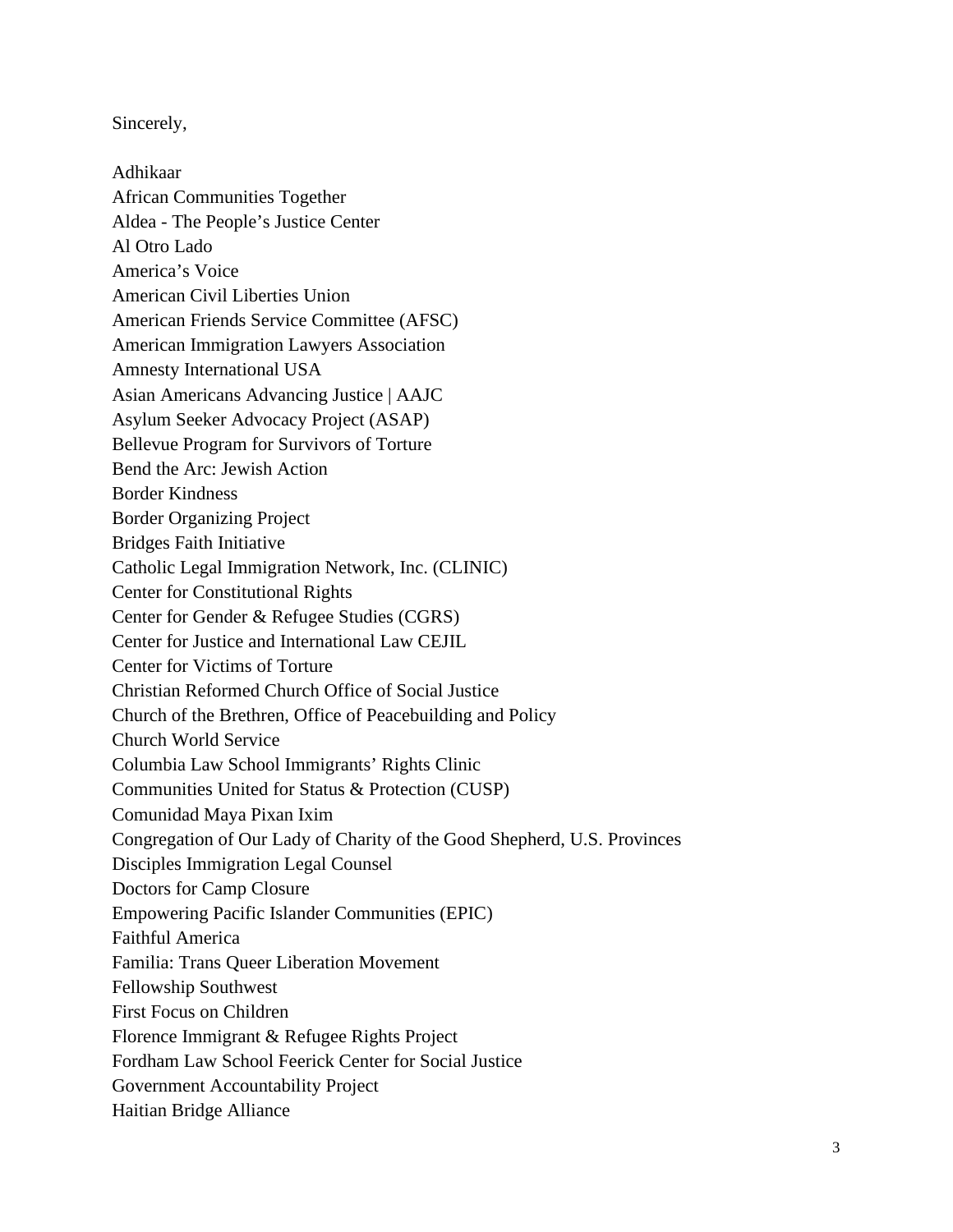Sincerely,

Adhikaar African Communities Together Aldea - The People's Justice Center Al Otro Lado America's Voice American Civil Liberties Union American Friends Service Committee (AFSC) American Immigration Lawyers Association Amnesty International USA Asian Americans Advancing Justice | AAJC Asylum Seeker Advocacy Project (ASAP) Bellevue Program for Survivors of Torture Bend the Arc: Jewish Action Border Kindness Border Organizing Project Bridges Faith Initiative Catholic Legal Immigration Network, Inc. (CLINIC) Center for Constitutional Rights Center for Gender & Refugee Studies (CGRS) Center for Justice and International Law CEJIL Center for Victims of Torture Christian Reformed Church Office of Social Justice Church of the Brethren, Office of Peacebuilding and Policy Church World Service Columbia Law School Immigrants' Rights Clinic Communities United for Status & Protection (CUSP) Comunidad Maya Pixan Ixim Congregation of Our Lady of Charity of the Good Shepherd, U.S. Provinces Disciples Immigration Legal Counsel Doctors for Camp Closure Empowering Pacific Islander Communities (EPIC) Faithful America Familia: Trans Queer Liberation Movement Fellowship Southwest First Focus on Children Florence Immigrant & Refugee Rights Project Fordham Law School Feerick Center for Social Justice Government Accountability Project Haitian Bridge Alliance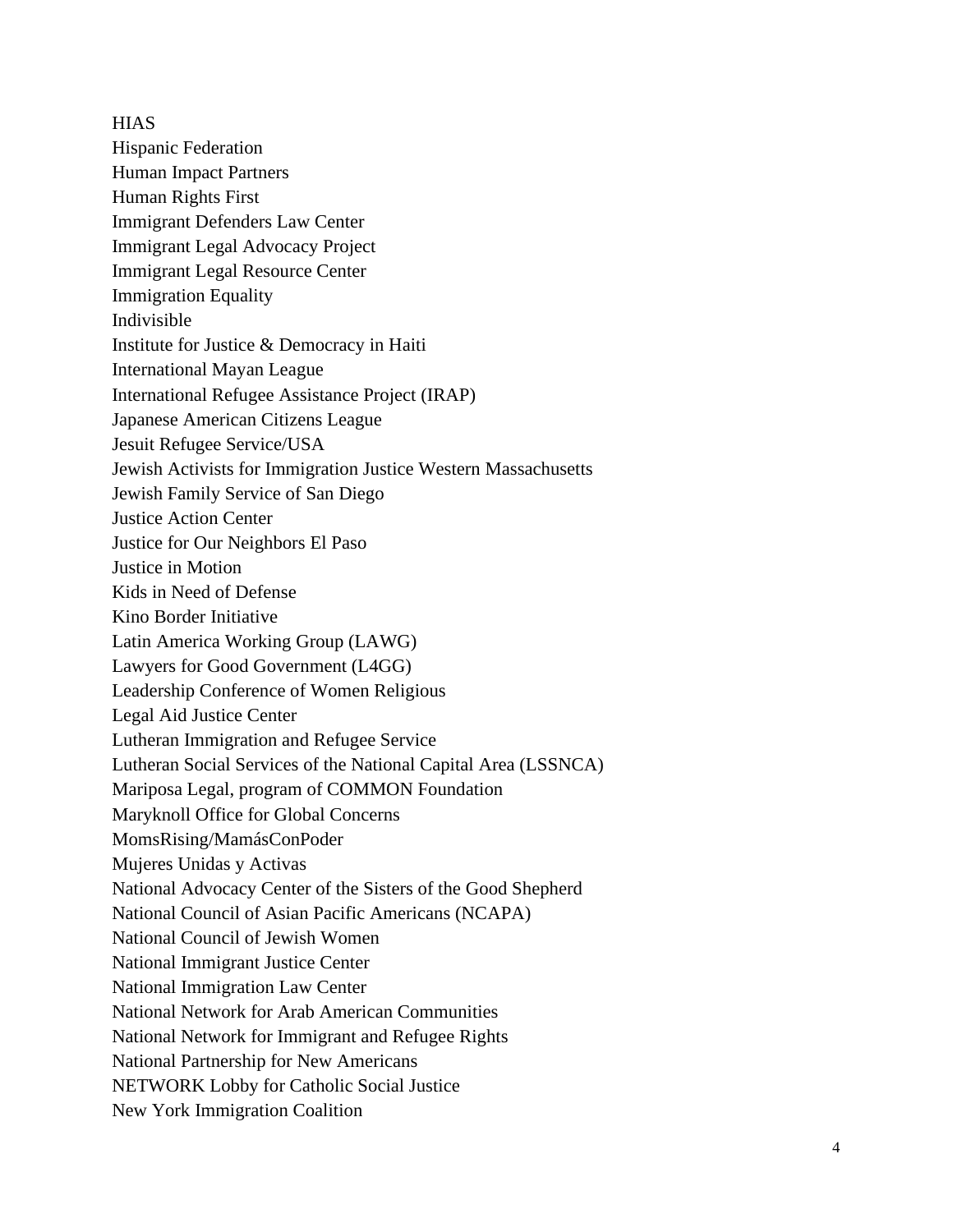**HIAS** Hispanic Federation Human Impact Partners Human Rights First Immigrant Defenders Law Center Immigrant Legal Advocacy Project Immigrant Legal Resource Center Immigration Equality Indivisible Institute for Justice & Democracy in Haiti International Mayan League International Refugee Assistance Project (IRAP) Japanese American Citizens League Jesuit Refugee Service/USA Jewish Activists for Immigration Justice Western Massachusetts Jewish Family Service of San Diego Justice Action Center Justice for Our Neighbors El Paso Justice in Motion Kids in Need of Defense Kino Border Initiative Latin America Working Group (LAWG) Lawyers for Good Government (L4GG) Leadership Conference of Women Religious Legal Aid Justice Center Lutheran Immigration and Refugee Service Lutheran Social Services of the National Capital Area (LSSNCA) Mariposa Legal, program of COMMON Foundation Maryknoll Office for Global Concerns MomsRising/MamásConPoder Mujeres Unidas y Activas National Advocacy Center of the Sisters of the Good Shepherd National Council of Asian Pacific Americans (NCAPA) National Council of Jewish Women National Immigrant Justice Center National Immigration Law Center National Network for Arab American Communities National Network for Immigrant and Refugee Rights National Partnership for New Americans NETWORK Lobby for Catholic Social Justice

New York Immigration Coalition